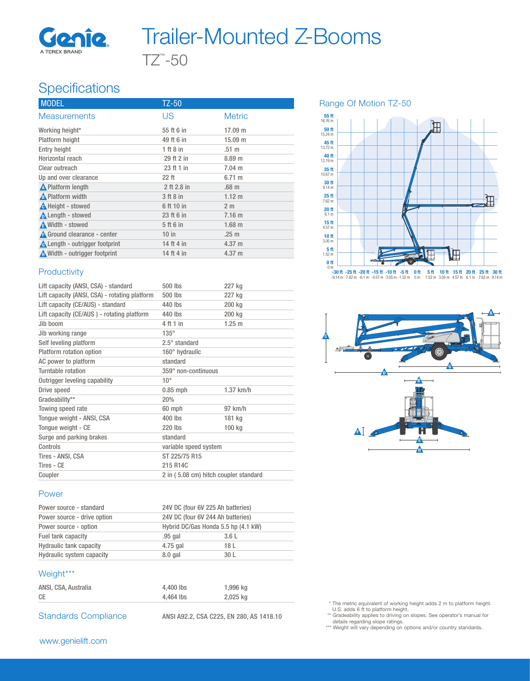

## TZ™ -50 Trailer-Mounted Z-Booms

## **Specifications**

| <b>MODEL</b>                          | TZ-50         |                  |
|---------------------------------------|---------------|------------------|
| <b>Measurements</b>                   | US            | <b>Metric</b>    |
| Working height*                       | 55 ft 6 in    | 17.09 m          |
| Platform height                       | 49 ft 6 in    | 15.09 m          |
| <b>Entry height</b>                   | $1$ ft $8$ in | $.51 \text{ m}$  |
| Horizontal reach                      | 29 ft 2 in    | 8.89 m           |
| Clear outreach                        | 23 ft 1 in    | $7.04 \text{ m}$ |
| Up and over clearance                 | $22$ ft       | $6.71 \text{ m}$ |
| $\triangle$ Platform length           | 2 ft 2.8 in   | .68 <sub>m</sub> |
| <b>A</b> Platform width               | 3 ft 8 in     | $1.12 \; m$      |
| <b>A</b> Height - stowed              | 6 ft 10 in    | 2 <sub>m</sub>   |
| <b>A</b> Length - stowed              | 23 ft 6 in    | $7.16$ m         |
| A Width - stowed                      | 5 ft 6 in     | $1.68$ m         |
| <b>A</b> Ground clearance - center    | $10$ in       | .25 <sub>m</sub> |
| <b>A</b> Length - outrigger footprint | 14 ft 4 in    | $4.37 \text{ m}$ |
| Width - outrigger footprint           | 14 ft 4 in    | $4.37 \text{ m}$ |

#### **Productivity**

| Lift capacity (ANSI, CSA) - standard          | 500 lbs                               | 227 kg      |
|-----------------------------------------------|---------------------------------------|-------------|
| Lift capacity (ANSI, CSA) - rotating platform | 500 lbs                               | 227 kg      |
| Lift capacity (CE/AUS) - standard             | 440 lbs                               | 200 kg      |
| Lift capacity (CE/AUS) - rotating platform    | 440 lbs                               | 200 kg      |
| Jih hoom                                      | 4 ft 1 in                             | $1.25$ m    |
| Jib working range                             | $135^\circ$                           |             |
| Self leveling platform                        | $2.5^\circ$ standard                  |             |
| Platform rotation option                      | 160° hydraulic                        |             |
| AC power to platform                          | standard                              |             |
| Turntable rotation                            | 359° non-continuous                   |             |
| Outrigger leveling capability                 | $10^{\circ}$                          |             |
| Drive speed                                   | $0.85$ mph                            | $1.37$ km/h |
| Gradeability**                                | 20%                                   |             |
| Towing speed rate                             | 60 mph                                | 97 km/h     |
| Tonque weight - ANSI, CSA                     | 400 lbs                               | 181 kg      |
| Tonque weight - CE                            | 220 lbs                               | 100 kg      |
| Surge and parking brakes                      | standard                              |             |
| Controls                                      | variable speed system                 |             |
| Tires - ANSI, CSA                             | ST 225/75 R15                         |             |
| Tires - CE                                    | 215 R14C                              |             |
| Coupler                                       | 2 in (5.08 cm) hitch coupler standard |             |

#### Power

| Power source - standard        | 24V DC (four 6V 225 Ah batteries)   |                 |  |
|--------------------------------|-------------------------------------|-----------------|--|
| Power source - drive option    | 24V DC (four 6V 244 Ah batteries)   |                 |  |
| Power source - option          | Hybrid DC/Gas Honda 5.5 hp (4.1 kW) |                 |  |
| Fuel tank capacity             | .95 gal                             | 3.6 L           |  |
| <b>Hydraulic tank capacity</b> | 4.75 gal                            | 18 L            |  |
| Hydraulic system capacity      | $8.0$ gal                           | 30 <sub>L</sub> |  |

### Weight\*\*\*

| ANSI, CSA, Australia | 4.400 lbs | 1,996 kg |
|----------------------|-----------|----------|
| <b>CE</b>            | 4.464 lbs | 2.025 kg |
|                      |           |          |

Standards Compliance ANSI A92.2, CSA C225, EN 280, AS 1418.10

#### Range Of Motion TZ-50





\* The metric equivalent of working height adds 2 m to platform height. U.S. adds 6 ft to platform height. \*\* Gradeability applies to driving on slopes. See operator's manual for

details regarding slope ratings. \*\*\* Weight will vary depending on options and/or country standards.

#### www.genielift.com